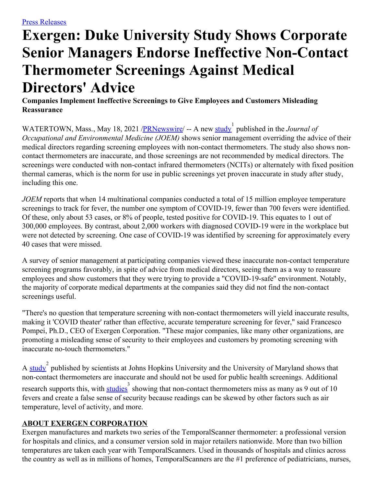## **Exergen: Duke University Study Shows Corporate Senior Managers Endorse Ineffective Non-Contact Thermometer Screenings Against Medical Directors' Advice**

**Companies Implement Ineffective Screenings to Give Employees and Customers Misleading Reassurance**

WATERTOWN, Mass., May 18, 2021 /**PRNewswire**/ -- A new [study](https://c212.net/c/link/?t=0&l=en&o=3167660-1&h=1426665706&u=https%3A%2F%2Fjournals.lww.com%2Fjoem%2FAbstract%2F9000%2FWorksite_Temperature_Screening_for_COVID_19.97901.aspx&a=study) published in the *Journal of Occupational and Environmental Medicine (JOEM)* shows senior management overriding the advice of their medical directors regarding screening employees with non-contact thermometers. The study also shows noncontact thermometers are inaccurate, and those screenings are not recommended by medical directors. The screenings were conducted with non-contact infrared thermometers (NCITs) or alternately with fixed position thermal cameras, which is the norm for use in public screenings yet proven inaccurate in study after study, including this one.

*JOEM* reports that when 14 multinational companies conducted a total of 15 million employee temperature screenings to track for fever, the number one symptom of COVID-19, fewer than 700 fevers were identified. Of these, only about 53 cases, or 8% of people, tested positive for COVID-19. This equates to 1 out of 300,000 employees. By contrast, about 2,000 workers with diagnosed COVID-19 were in the workplace but were not detected by screening. One case of COVID-19 was identified by screening for approximately every 40 cases that were missed.

A survey of senior management at participating companies viewed these inaccurate non-contact temperature screening programs favorably, in spite of advice from medical directors, seeing them as a way to reassure employees and show customers that they were trying to provide a "COVID-19-safe'' environment. Notably, the majority of corporate medical departments at the companies said they did not find the non-contact screenings useful.

"There's no question that temperature screening with non-contact thermometers will yield inaccurate results, making it 'COVID theater' rather than effective, accurate temperature screening for fever," said Francesco Pompei, Ph.D., CEO of Exergen Corporation. "These major companies, like many other organizations, are promoting a misleading sense of security to their employees and customers by promoting screening with inaccurate no-touch thermometers."

A [study](https://c212.net/c/link/?t=0&l=en&o=3167660-1&h=3000330106&u=https%3A%2F%2Facademic.oup.com%2Fofid%2Farticle%2F8%2F1%2Fofaa603%2F6032722&a=study)<sup>2</sup> published by scientists at Johns Hopkins University and the University of Maryland shows that non-contact thermometers are inaccurate and should not be used for public health screenings. Additional research supports this, with **[studies](https://c212.net/c/link/?t=0&l=en&o=3167660-1&h=2479919139&u=https%3A%2F%2Fpafmj.org%2Findex.php%2FPAFMJ%2Farticle%2Fview%2F5319%2F2919&a=studies)** showing that non-contact thermometers miss as many as 9 out of 10 fevers and create a false sense of security because readings can be skewed by other factors such as air temperature, level of activity, and more.

## **ABOUT EXERGEN CORPORATION**

Exergen manufactures and markets two series of the TemporalScanner thermometer: a professional version for hospitals and clinics, and a consumer version sold in major retailers nationwide. More than two billion temperatures are taken each year with TemporalScanners. Used in thousands of hospitals and clinics across the country as well as in millions of homes, TemporalScanners are the #1 preference of pediatricians, nurses,